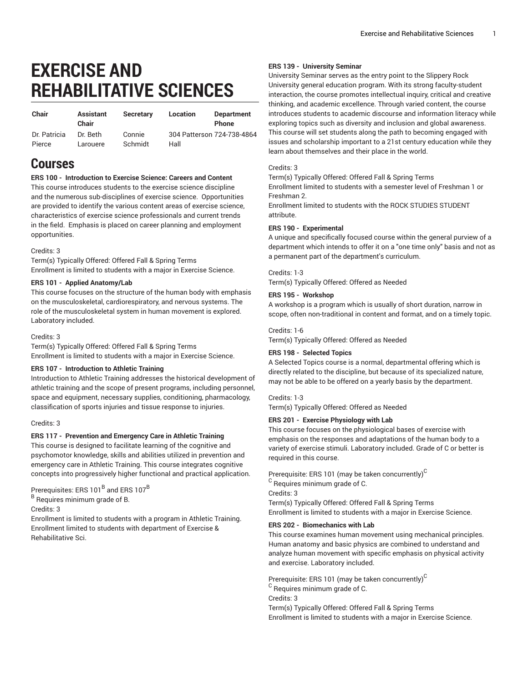# **EXERCISE AND REHABILITATIVE SCIENCES**

| Chair        | <b>Assistant</b><br>Chair | <b>Secretary</b> | Location                   | <b>Department</b><br><b>Phone</b> |
|--------------|---------------------------|------------------|----------------------------|-----------------------------------|
| Dr. Patricia | Dr. Beth                  | Connie           | 304 Patterson 724-738-4864 |                                   |
| Pierce       | Larouere                  | Schmidt          | Hall                       |                                   |

# **Courses**

# **ERS 100 - Introduction to Exercise Science: Careers and Content**

This course introduces students to the exercise science discipline and the numerous sub-disciplines of exercise science. Opportunities are provided to identify the various content areas of exercise science, characteristics of exercise science professionals and current trends in the field. Emphasis is placed on career planning and employment opportunities.

#### Credits: 3

Term(s) Typically Offered: Offered Fall & Spring Terms Enrollment is limited to students with a major in Exercise Science.

#### **ERS 101 - Applied Anatomy/Lab**

This course focuses on the structure of the human body with emphasis on the musculoskeletal, cardiorespiratory, and nervous systems. The role of the musculoskeletal system in human movement is explored. Laboratory included.

#### Credits: 3

Term(s) Typically Offered: Offered Fall & Spring Terms Enrollment is limited to students with a major in Exercise Science.

#### **ERS 107 - Introduction to Athletic Training**

Introduction to Athletic Training addresses the historical development of athletic training and the scope of present programs, including personnel, space and equipment, necessary supplies, conditioning, pharmacology, classification of sports injuries and tissue response to injuries.

#### Credits: 3

#### **ERS 117 - Prevention and Emergency Care in Athletic Training**

This course is designed to facilitate learning of the cognitive and psychomotor knowledge, skills and abilities utilized in prevention and emergency care in Athletic Training. This course integrates cognitive concepts into progressively higher functional and practical application.

Prerequisites: ERS 101 $^{\sf B}$  and ERS 107 $^{\sf B}$ 

<sup>B</sup> Requires minimum grade of B.

Credits: 3

Enrollment is limited to students with a program in Athletic Training. Enrollment limited to students with department of Exercise & Rehabilitative Sci.

#### **ERS 139 - University Seminar**

University Seminar serves as the entry point to the Slippery Rock University general education program. With its strong faculty-student interaction, the course promotes intellectual inquiry, critical and creative thinking, and academic excellence. Through varied content, the course introduces students to academic discourse and information literacy while exploring topics such as diversity and inclusion and global awareness. This course will set students along the path to becoming engaged with issues and scholarship important to a 21st century education while they learn about themselves and their place in the world.

#### Credits: 3

attribute.

Term(s) Typically Offered: Offered Fall & Spring Terms Enrollment limited to students with a semester level of Freshman 1 or

Freshman 2. Enrollment limited to students with the ROCK STUDIES STUDENT

# **ERS 190 - Experimental**

A unique and specifically focused course within the general purview of a department which intends to offer it on a "one time only" basis and not as a permanent part of the department's curriculum.

#### Credits: 1-3

Term(s) Typically Offered: Offered as Needed

#### **ERS 195 - Workshop**

A workshop is a program which is usually of short duration, narrow in scope, often non-traditional in content and format, and on a timely topic.

#### Credits: 1-6

Term(s) Typically Offered: Offered as Needed

#### **ERS 198 - Selected Topics**

A Selected Topics course is a normal, departmental offering which is directly related to the discipline, but because of its specialized nature, may not be able to be offered on a yearly basis by the department.

#### Credits: 1-3

Term(s) Typically Offered: Offered as Needed

#### **ERS 201 - Exercise Physiology with Lab**

This course focuses on the physiological bases of exercise with emphasis on the responses and adaptations of the human body to a variety of exercise stimuli. Laboratory included. Grade of C or better is required in this course.

Prerequisite: ERS 101 (may be taken concurrently) $^{\rm C}$ 

 $^{\rm C}$  Requires minimum grade of C.

Credits: 3

Term(s) Typically Offered: Offered Fall & Spring Terms Enrollment is limited to students with a major in Exercise Science.

#### **ERS 202 - Biomechanics with Lab**

This course examines human movement using mechanical principles. Human anatomy and basic physics are combined to understand and analyze human movement with specific emphasis on physical activity and exercise. Laboratory included.

Prerequisite: ERS 101 (may be taken concurrently) $^{\mathtt{C}}$  $^{\rm C}$  Requires minimum grade of C. Credits: 3 Term(s) Typically Offered: Offered Fall & Spring Terms Enrollment is limited to students with a major in Exercise Science.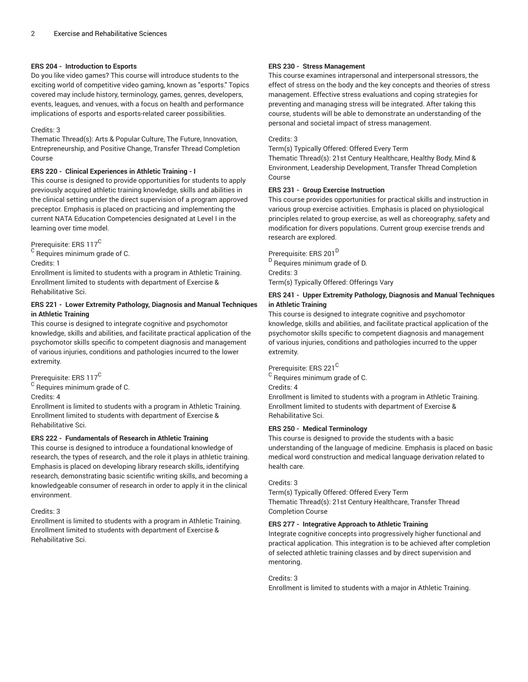#### **ERS 204 - Introduction to Esports**

Do you like video games? This course will introduce students to the exciting world of competitive video gaming, known as "esports." Topics covered may include history, terminology, games, genres, developers, events, leagues, and venues, with a focus on health and performance implications of esports and esports-related career possibilities.

#### Credits: 3

Thematic Thread(s): Arts & Popular Culture, The Future, Innovation, Entrepreneurship, and Positive Change, Transfer Thread Completion Course

#### **ERS 220 - Clinical Experiences in Athletic Training - I**

This course is designed to provide opportunities for students to apply previously acquired athletic training knowledge, skills and abilities in the clinical setting under the direct supervision of a program approved preceptor. Emphasis is placed on practicing and implementing the current NATA Education Competencies designated at Level I in the learning over time model.

Prerequisite: ERS 117<sup>C</sup>

 $^{\mathsf{C}}$  Requires minimum grade of C. Credits: 1

Enrollment is limited to students with a program in Athletic Training. Enrollment limited to students with department of Exercise & Rehabilitative Sci.

# **ERS 221 - Lower Extremity Pathology, Diagnosis and Manual Techniques in Athletic Training**

This course is designed to integrate cognitive and psychomotor knowledge, skills and abilities, and facilitate practical application of the psychomotor skills specific to competent diagnosis and management of various injuries, conditions and pathologies incurred to the lower extremity.

Prerequisite: ERS 117<sup>C</sup>

 $^{\mathsf{C}}$  Requires minimum grade of C.

Credits: 4

Enrollment is limited to students with a program in Athletic Training. Enrollment limited to students with department of Exercise & Rehabilitative Sci.

# **ERS 222 - Fundamentals of Research in Athletic Training**

This course is designed to introduce a foundational knowledge of research, the types of research, and the role it plays in athletic training. Emphasis is placed on developing library research skills, identifying research, demonstrating basic scientific writing skills, and becoming a knowledgeable consumer of research in order to apply it in the clinical environment.

#### Credits: 3

Enrollment is limited to students with a program in Athletic Training. Enrollment limited to students with department of Exercise & Rehabilitative Sci.

## **ERS 230 - Stress Management**

This course examines intrapersonal and interpersonal stressors, the effect of stress on the body and the key concepts and theories of stress management. Effective stress evaluations and coping strategies for preventing and managing stress will be integrated. After taking this course, students will be able to demonstrate an understanding of the personal and societal impact of stress management.

#### Credits: 3

Term(s) Typically Offered: Offered Every Term

Thematic Thread(s): 21st Century Healthcare, Healthy Body, Mind & Environment, Leadership Development, Transfer Thread Completion Course

# **ERS 231 - Group Exercise Instruction**

This course provides opportunities for practical skills and instruction in various group exercise activities. Emphasis is placed on physiological principles related to group exercise, as well as choreography, safety and modification for divers populations. Current group exercise trends and research are explored.

Prerequisite: ERS 201<sup>D</sup> <sup>D</sup> Requires minimum grade of D. Credits: 3 Term(s) Typically Offered: Offerings Vary

# **ERS 241 - Upper Extremity Pathology, Diagnosis and Manual Techniques in Athletic Training**

This course is designed to integrate cognitive and psychomotor knowledge, skills and abilities, and facilitate practical application of the psychomotor skills specific to competent diagnosis and management of various injuries, conditions and pathologies incurred to the upper extremity.

# Prerequisite: ERS 221<sup>C</sup>

 $^{\rm C}$  Requires minimum grade of C.

Credits: 4

Enrollment is limited to students with a program in Athletic Training. Enrollment limited to students with department of Exercise & Rehabilitative Sci.

# **ERS 250 - Medical Terminology**

This course is designed to provide the students with a basic understanding of the language of medicine. Emphasis is placed on basic medical word construction and medical language derivation related to health care.

# Credits: 3

Term(s) Typically Offered: Offered Every Term Thematic Thread(s): 21st Century Healthcare, Transfer Thread Completion Course

# **ERS 277 - Integrative Approach to Athletic Training**

Integrate cognitive concepts into progressively higher functional and practical application. This integration is to be achieved after completion of selected athletic training classes and by direct supervision and mentoring.

#### Credits: 3

Enrollment is limited to students with a major in Athletic Training.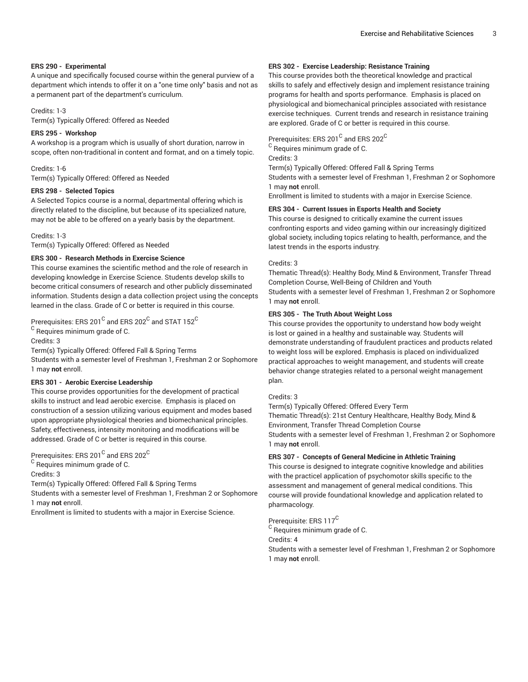#### **ERS 290 - Experimental**

A unique and specifically focused course within the general purview of a department which intends to offer it on a "one time only" basis and not as a permanent part of the department's curriculum.

#### Credits: 1-3

Term(s) Typically Offered: Offered as Needed

## **ERS 295 - Workshop**

A workshop is a program which is usually of short duration, narrow in scope, often non-traditional in content and format, and on a timely topic.

## Credits: 1-6

Term(s) Typically Offered: Offered as Needed

# **ERS 298 - Selected Topics**

A Selected Topics course is a normal, departmental offering which is directly related to the discipline, but because of its specialized nature, may not be able to be offered on a yearly basis by the department.

Credits: 1-3

Term(s) Typically Offered: Offered as Needed

#### **ERS 300 - Research Methods in Exercise Science**

This course examines the scientific method and the role of research in developing knowledge in Exercise Science. Students develop skills to become critical consumers of research and other publicly disseminated information. Students design a data collection project using the concepts learned in the class. Grade of C or better is required in this course.

Prerequisites: ERS 201 $^{\rm C}$  and ERS 202 $^{\rm C}$  and STAT 152 $^{\rm C}$ 

 $^{\mathsf{C}}$  Requires minimum grade of C.

Credits: 3

Term(s) Typically Offered: Offered Fall & Spring Terms Students with a semester level of Freshman 1, Freshman 2 or Sophomore 1 may **not** enroll.

# **ERS 301 - Aerobic Exercise Leadership**

This course provides opportunities for the development of practical skills to instruct and lead aerobic exercise. Emphasis is placed on construction of a session utilizing various equipment and modes based upon appropriate physiological theories and biomechanical principles. Safety, effectiveness, intensity monitoring and modifications will be addressed. Grade of C or better is required in this course.

Prerequisites: ERS 201 $^{\rm C}$  and ERS 202 $^{\rm C}$ 

 $^{\mathsf{C}}$  Requires minimum grade of C.

Credits: 3

Term(s) Typically Offered: Offered Fall & Spring Terms

Students with a semester level of Freshman 1, Freshman 2 or Sophomore 1 may **not** enroll.

Enrollment is limited to students with a major in Exercise Science.

#### **ERS 302 - Exercise Leadership: Resistance Training**

This course provides both the theoretical knowledge and practical skills to safely and effectively design and implement resistance training programs for health and sports performance. Emphasis is placed on physiological and biomechanical principles associated with resistance exercise techniques. Current trends and research in resistance training are explored. Grade of C or better is required in this course.

Prerequisites: ERS 201 $^{\rm C}$  and ERS 202 $^{\rm C}$ 

 $^{\rm C}$  Requires minimum grade of C.

Credits: 3

Term(s) Typically Offered: Offered Fall & Spring Terms

Students with a semester level of Freshman 1, Freshman 2 or Sophomore 1 may **not** enroll.

Enrollment is limited to students with a major in Exercise Science.

#### **ERS 304 - Current Issues in Esports Health and Society**

This course is designed to critically examine the current issues confronting esports and video gaming within our increasingly digitized global society, including topics relating to health, performance, and the latest trends in the esports industry.

#### Credits: 3

Thematic Thread(s): Healthy Body, Mind & Environment, Transfer Thread Completion Course, Well-Being of Children and Youth Students with a semester level of Freshman 1, Freshman 2 or Sophomore 1 may **not** enroll.

# **ERS 305 - The Truth About Weight Loss**

This course provides the opportunity to understand how body weight is lost or gained in a healthy and sustainable way. Students will demonstrate understanding of fraudulent practices and products related to weight loss will be explored. Emphasis is placed on individualized practical approaches to weight management, and students will create behavior change strategies related to a personal weight management plan.

#### Credits: 3

Term(s) Typically Offered: Offered Every Term Thematic Thread(s): 21st Century Healthcare, Healthy Body, Mind & Environment, Transfer Thread Completion Course Students with a semester level of Freshman 1, Freshman 2 or Sophomore 1 may **not** enroll.

# **ERS 307 - Concepts of General Medicine in Athletic Training**

This course is designed to integrate cognitive knowledge and abilities with the practicel application of psychomotor skills specific to the assessment and management of general medical conditions. This course will provide foundational knowledge and application related to pharmacology.

# Prerequisite: ERS 117<sup>C</sup>

 $^{\rm C}$  Requires minimum grade of C. Credits: 4

Students with a semester level of Freshman 1, Freshman 2 or Sophomore 1 may **not** enroll.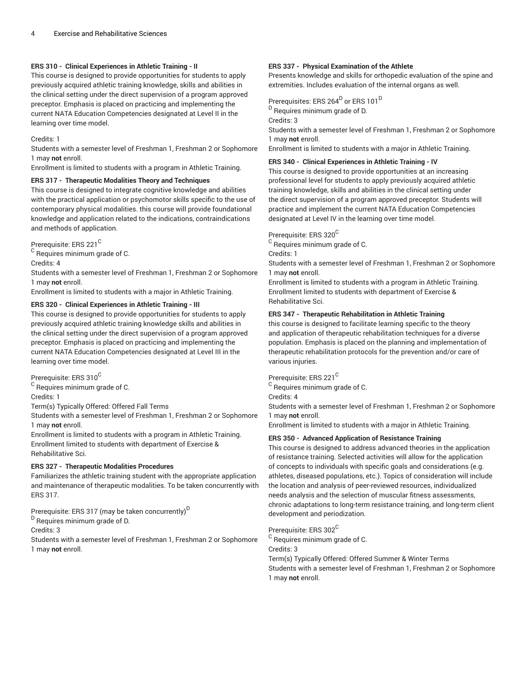## **ERS 310 - Clinical Experiences in Athletic Training - II**

This course is designed to provide opportunities for students to apply previously acquired athletic training knowledge, skills and abilities in the clinical setting under the direct supervision of a program approved preceptor. Emphasis is placed on practicing and implementing the current NATA Education Competencies designated at Level II in the learning over time model.

Credits: 1

Students with a semester level of Freshman 1, Freshman 2 or Sophomore 1 may **not** enroll.

Enrollment is limited to students with a program in Athletic Training.

#### **ERS 317 - Therapeutic Modalities Theory and Techniques**

This course is designed to integrate cognitive knowledge and abilities with the practical application or psychomotor skills specific to the use of contemporary physical modalities. this course will provide foundational knowledge and application related to the indications, contraindications and methods of application.

Prerequisite: ERS 221<sup>C</sup>

 $^{\mathsf{C}}$  Requires minimum grade of C.

Credits: 4

Students with a semester level of Freshman 1, Freshman 2 or Sophomore 1 may **not** enroll.

Enrollment is limited to students with a major in Athletic Training.

#### **ERS 320 - Clinical Experiences in Athletic Training - III**

This course is designed to provide opportunities for students to apply previously acquired athletic training knowledge skills and abilities in the clinical setting under the direct supervision of a program approved preceptor. Emphasis is placed on practicing and implementing the current NATA Education Competencies designated at Level III in the learning over time model.

Prerequisite: ERS 310<sup>C</sup>

 $^{\mathsf{C}}$  Requires minimum grade of C.

Credits: 1

Term(s) Typically Offered: Offered Fall Terms

Students with a semester level of Freshman 1, Freshman 2 or Sophomore 1 may **not** enroll.

Enrollment is limited to students with a program in Athletic Training. Enrollment limited to students with department of Exercise & Rehabilitative Sci.

# **ERS 327 - Therapeutic Modalities Procedures**

Familiarizes the athletic training student with the appropriate application and maintenance of therapeutic modalities. To be taken concurrently with ERS 317.

Prerequisite: ERS 317 (may be taken concurrently) $^{\mathsf{D}}$ 

<sup>D</sup> Requires minimum grade of D.

Credits: 3

Students with a semester level of Freshman 1, Freshman 2 or Sophomore 1 may **not** enroll.

#### **ERS 337 - Physical Examination of the Athlete**

Presents knowledge and skills for orthopedic evaluation of the spine and extremities. Includes evaluation of the internal organs as well.

Prerequisites: ERS 264<sup>D</sup> or ERS 101<sup>D</sup>

<sup>D</sup> Requires minimum grade of D.

Credits: 3

Students with a semester level of Freshman 1, Freshman 2 or Sophomore 1 may **not** enroll.

Enrollment is limited to students with a major in Athletic Training.

# **ERS 340 - Clinical Experiences in Athletic Training - IV**

This course is designed to provide opportunities at an increasing professional level for students to apply previously acquired athletic training knowledge, skills and abilities in the clinical setting under the direct supervision of a program approved preceptor. Students will practice and implement the current NATA Education Competencies designated at Level IV in the learning over time model.

# Prerequisite: ERS 320<sup>C</sup>

 $^{\rm C}$  Requires minimum grade of C.

Credits: 1

Students with a semester level of Freshman 1, Freshman 2 or Sophomore 1 may **not** enroll.

Enrollment is limited to students with a program in Athletic Training. Enrollment limited to students with department of Exercise & Rehabilitative Sci.

# **ERS 347 - Therapeutic Rehabilitation in Athletic Training**

this course is designed to facilitate learning specific to the theory and application of therapeutic rehabilitation techniques for a diverse population. Emphasis is placed on the planning and implementation of therapeutic rehabilitation protocols for the prevention and/or care of various injuries.

Prerequisite: ERS 221<sup>C</sup>

 $^{\rm C}$  Requires minimum grade of C.

Credits: 4

Students with a semester level of Freshman 1, Freshman 2 or Sophomore 1 may **not** enroll.

Enrollment is limited to students with a major in Athletic Training.

# **ERS 350 - Advanced Application of Resistance Training**

This course is designed to address advanced theories in the application of resistance training. Selected activities will allow for the application of concepts to individuals with specific goals and considerations (e.g. athletes, diseased populations, etc.). Topics of consideration will include the location and analysis of peer-reviewed resources, individualized needs analysis and the selection of muscular fitness assessments, chronic adaptations to long-term resistance training, and long-term client development and periodization.

Prerequisite: ERS 302<sup>C</sup>

 $^{\rm C}$  Requires minimum grade of C.

Credits: 3

Term(s) Typically Offered: Offered Summer & Winter Terms

Students with a semester level of Freshman 1, Freshman 2 or Sophomore 1 may **not** enroll.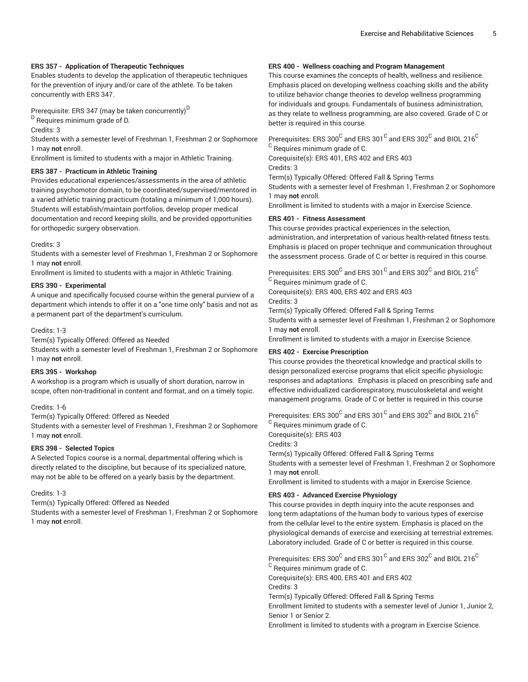#### **ERS 357 - Application of Therapeutic Techniques**

Enables students to develop the application of therapeutic techniques for the prevention of injury and/or care of the athlete. To be taken concurrently with ERS 347.

Prerequisite: ERS 347 (may be taken concurrently) $^{\mathsf{D}}$ 

<sup>D</sup> Requires minimum grade of D.

Credits: 3

Students with a semester level of Freshman 1, Freshman 2 or Sophomore 1 may **not** enroll.

Enrollment is limited to students with a major in Athletic Training.

#### **ERS 387 - Practicum in Athletic Training**

Provides educational experiences/assessments in the area of athletic training psychomotor domain, to be coordinated/supervised/mentored in a varied athletic training practicum (totaling a minimum of 1,000 hours). Students will establish/maintain portfolios, develop proper medical documentation and record keeping skills, and be provided opportunities for orthopedic surgery observation.

#### Credits: 3

Students with a semester level of Freshman 1, Freshman 2 or Sophomore 1 may **not** enroll.

Enrollment is limited to students with a major in Athletic Training.

#### **ERS 390 - Experimental**

A unique and specifically focused course within the general purview of a department which intends to offer it on a "one time only" basis and not as a permanent part of the department's curriculum.

#### Credits: 1-3

Term(s) Typically Offered: Offered as Needed

Students with a semester level of Freshman 1, Freshman 2 or Sophomore 1 may **not** enroll.

#### **ERS 395 - Workshop**

A workshop is a program which is usually of short duration, narrow in scope, often non-traditional in content and format, and on a timely topic.

#### Credits: 1-6

Term(s) Typically Offered: Offered as Needed Students with a semester level of Freshman 1, Freshman 2 or Sophomore 1 may **not** enroll.

# **ERS 398 - Selected Topics**

A Selected Topics course is a normal, departmental offering which is directly related to the discipline, but because of its specialized nature, may not be able to be offered on a yearly basis by the department.

Credits: 1-3

Term(s) Typically Offered: Offered as Needed

Students with a semester level of Freshman 1, Freshman 2 or Sophomore 1 may **not** enroll.

#### **ERS 400 - Wellness coaching and Program Management**

This course examines the concepts of health, wellness and resilience. Emphasis placed on developing wellness coaching skills and the ability to utilize behavior change theories to develop wellness programming for individuals and groups. Fundamentals of business administration, as they relate to wellness programming, are also covered. Grade of C or better is required in this course.

Prerequisites: ERS 300 $^{\rm C}$  and ERS 301 $^{\rm C}$  and ERS 302 $^{\rm C}$  and BIOL 216 $^{\rm C}$  $^{\rm C}$  Requires minimum grade of C.

Corequisite(s): ERS 401, ERS 402 and ERS 403

Credits: 3 Term(s) Typically Offered: Offered Fall & Spring Terms

Students with a semester level of Freshman 1, Freshman 2 or Sophomore 1 may **not** enroll.

Enrollment is limited to students with a major in Exercise Science.

#### **ERS 401 - Fitness Assessment**

This course provides practical experiences in the selection, administration, and interpretation of various health-related fitness tests. Emphasis is placed on proper technique and communication throughout the assessment process. Grade of C or better is required in this course.

Prerequisites: ERS 300 $^{\rm C}$  and ERS 301 $^{\rm C}$  and ERS 302 $^{\rm C}$  and BIOL 216 $^{\rm C}$  $^{\rm C}$  Requires minimum grade of C.

Corequisite(s): ERS 400, ERS 402 and ERS 403 Credits: 3

Term(s) Typically Offered: Offered Fall & Spring Terms

Students with a semester level of Freshman 1, Freshman 2 or Sophomore 1 may **not** enroll.

Enrollment is limited to students with a major in Exercise Science.

# **ERS 402 - Exercise Prescription**

This course provides the theoretical knowledge and practical skills to design personalized exercise programs that elicit specific physiologic responses and adaptations. Emphasis is placed on prescribing safe and effective individualized cardiorespiratory, musculoskeletal and weight management programs. Grade of C or better is required in this course

Prerequisites: ERS 300 $^{\rm C}$  and ERS 301 $^{\rm C}$  and ERS 302 $^{\rm C}$  and BIOL 216 $^{\rm C}$  $^{\rm C}$  Requires minimum grade of C.

Corequisite(s): ERS 403

Credits: 3

Term(s) Typically Offered: Offered Fall & Spring Terms

Students with a semester level of Freshman 1, Freshman 2 or Sophomore 1 may **not** enroll.

Enrollment is limited to students with a major in Exercise Science.

# **ERS 403 - Advanced Exercise Physiology**

This course provides in depth inquiry into the acute responses and long term adaptations of the human body to various types of exercise from the cellular level to the entire system. Emphasis is placed on the physiological demands of exercise and exercising at terrestrial extremes. Laboratory included. Grade of C or better is required in this course.

Prerequisites: ERS 300 $^{\rm C}$  and ERS 301 $^{\rm C}$  and ERS 302 $^{\rm C}$  and BIOL 216 $^{\rm C}$  $^{\rm C}$  Requires minimum grade of C. Corequisite(s): ERS 400, ERS 401 and ERS 402

Credits: 3

Term(s) Typically Offered: Offered Fall & Spring Terms

Enrollment limited to students with a semester level of Junior 1, Junior 2, Senior 1 or Senior 2.

Enrollment is limited to students with a program in Exercise Science.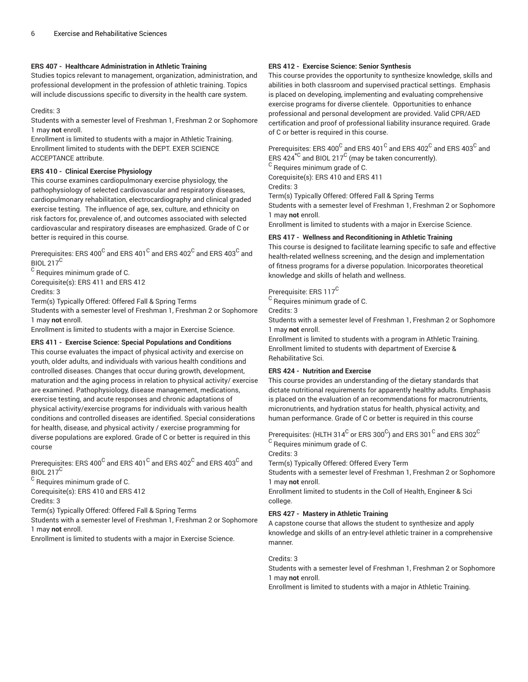## **ERS 407 - Healthcare Administration in Athletic Training**

Studies topics relevant to management, organization, administration, and professional development in the profession of athletic training. Topics will include discussions specific to diversity in the health care system.

#### Credits: 3

Students with a semester level of Freshman 1, Freshman 2 or Sophomore 1 may **not** enroll.

Enrollment is limited to students with a major in Athletic Training. Enrollment limited to students with the DEPT. EXER SCIENCE ACCEPTANCE attribute.

# **ERS 410 - Clinical Exercise Physiology**

This course examines cardiopulmonary exercise physiology, the pathophysiology of selected cardiovascular and respiratory diseases, cardiopulmonary rehabilitation, electrocardiography and clinical graded exercise testing. The influence of age, sex, culture, and ethnicity on risk factors for, prevalence of, and outcomes associated with selected cardiovascular and respiratory diseases are emphasized. Grade of C or better is required in this course.

Prerequisites: ERS 400 $^{\rm C}$  and ERS 401 $^{\rm C}$  and ERS 402 $^{\rm C}$  and ERS 403 $^{\rm C}$  and BIOL 217<sup>C</sup>

 $^{\rm C}$  Requires minimum grade of C.

Corequisite(s): ERS 411 and ERS 412 Credits: 3

Term(s) Typically Offered: Offered Fall & Spring Terms

Students with a semester level of Freshman 1, Freshman 2 or Sophomore 1 may **not** enroll.

Enrollment is limited to students with a major in Exercise Science.

# **ERS 411 - Exercise Science: Special Populations and Conditions**

This course evaluates the impact of physical activity and exercise on youth, older adults, and individuals with various health conditions and controlled diseases. Changes that occur during growth, development, maturation and the aging process in relation to physical activity/ exercise are examined. Pathophysiology, disease management, medications, exercise testing, and acute responses and chronic adaptations of physical activity/exercise programs for individuals with various health conditions and controlled diseases are identified. Special considerations for health, disease, and physical activity / exercise programming for diverse populations are explored. Grade of C or better is required in this course

Prerequisites: ERS 400 $^{\rm C}$  and ERS 401 $^{\rm C}$  and ERS 402 $^{\rm C}$  and ERS 403 $^{\rm C}$  and BIOL 217<sup>C</sup>

 $^{\rm C}$  Requires minimum grade of C.

Corequisite(s): ERS 410 and ERS 412

Credits: 3

Term(s) Typically Offered: Offered Fall & Spring Terms

Students with a semester level of Freshman 1, Freshman 2 or Sophomore 1 may **not** enroll.

Enrollment is limited to students with a major in Exercise Science.

## **ERS 412 - Exercise Science: Senior Synthesis**

This course provides the opportunity to synthesize knowledge, skills and abilities in both classroom and supervised practical settings. Emphasis is placed on developing, implementing and evaluating comprehensive exercise programs for diverse clientele. Opportunities to enhance professional and personal development are provided. Valid CPR/AED certification and proof of professional liability insurance required. Grade of C or better is required in this course.

Prerequisites: ERS 400 $^{\rm C}$  and ERS 401 $^{\rm C}$  and ERS 402 $^{\rm C}$  and ERS 403 $^{\rm C}$  and ERS 424 $^{\star\text{\scriptsize C}}$  and BIOL 217 $^{\text{\scriptsize C}}$  (may be taken concurrently).

 $^{\rm C}$  Requires minimum grade of C.

Corequisite(s): ERS 410 and ERS 411

Credits: 3

Term(s) Typically Offered: Offered Fall & Spring Terms

Students with a semester level of Freshman 1, Freshman 2 or Sophomore 1 may **not** enroll.

Enrollment is limited to students with a major in Exercise Science.

# **ERS 417 - Wellness and Reconditioning in Athletic Training**

This course is designed to facilitate learning specific to safe and effective health-related wellness screening, and the design and implementation of fitness programs for a diverse population. Inicorporates theoretical knowledge and skills of helath and wellness.

# Prerequisite: ERS 117<sup>C</sup>

 $^{\rm C}$  Requires minimum grade of C.

Credits: 3

Students with a semester level of Freshman 1, Freshman 2 or Sophomore 1 may **not** enroll.

Enrollment is limited to students with a program in Athletic Training. Enrollment limited to students with department of Exercise & Rehabilitative Sci.

# **ERS 424 - Nutrition and Exercise**

This course provides an understanding of the dietary standards that dictate nutritional requirements for apparently healthy adults. Emphasis is placed on the evaluation of an recommendations for macronutrients, micronutrients, and hydration status for health, physical activity, and human performance. Grade of C or better is required in this course

Prerequisites: (HLTH 314 $^{\rm C}$  or ERS 300 $^{\rm C}$ ) and ERS 301 $^{\rm C}$  and ERS 302 $^{\rm C}$ 

 $^{\rm C}$  Requires minimum grade of C.

Credits: 3

Term(s) Typically Offered: Offered Every Term

Students with a semester level of Freshman 1, Freshman 2 or Sophomore 1 may **not** enroll.

Enrollment limited to students in the Coll of Health, Engineer & Sci college.

# **ERS 427 - Mastery in Athletic Training**

A capstone course that allows the student to synthesize and apply knowledge and skills of an entry-level athletic trainer in a comprehensive manner.

#### Credits: 3

Students with a semester level of Freshman 1, Freshman 2 or Sophomore 1 may **not** enroll.

Enrollment is limited to students with a major in Athletic Training.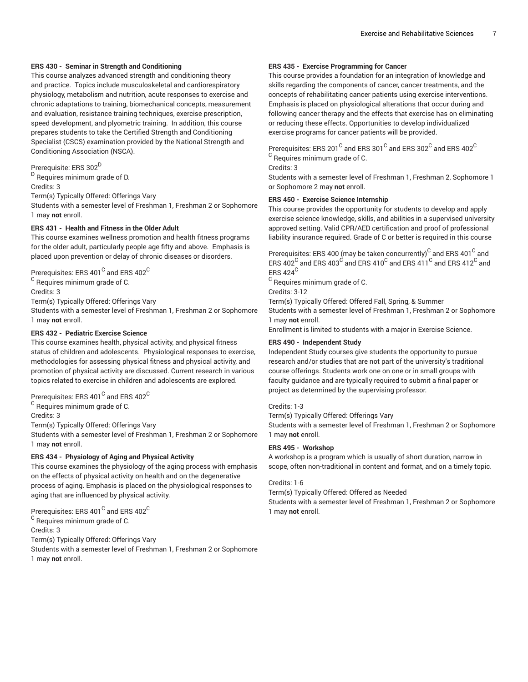#### **ERS 430 - Seminar in Strength and Conditioning**

This course analyzes advanced strength and conditioning theory and practice. Topics include musculoskeletal and cardiorespiratory physiology, metabolism and nutrition, acute responses to exercise and chronic adaptations to training, biomechanical concepts, measurement and evaluation, resistance training techniques, exercise prescription, speed development, and plyometric training. In addition, this course prepares students to take the Certified Strength and Conditioning Specialist (CSCS) examination provided by the National Strength and Conditioning Association (NSCA).

Prerequisite: ERS 302 D <sup>D</sup> Requires minimum grade of D. Credits: 3 Term(s) Typically Offered: Offerings Vary Students with a semester level of Freshman 1, Freshman 2 or Sophomore 1 may **not** enroll.

#### **ERS 431 - Health and Fitness in the Older Adult**

This course examines wellness promotion and health fitness programs for the older adult, particularly people age fifty and above. Emphasis is placed upon prevention or delay of chronic diseases or disorders.

Prerequisites: ERS 401 $^{\rm C}$  and ERS 402 $^{\rm C}$ 

 $^{\mathsf{C}}$  Requires minimum grade of C. Credits: 3 Term(s) Typically Offered: Offerings Vary Students with a semester level of Freshman 1, Freshman 2 or Sophomore

# 1 may **not** enroll. **ERS 432 - Pediatric Exercise Science**

This course examines health, physical activity, and physical fitness status of children and adolescents. Physiological responses to exercise, methodologies for assessing physical fitness and physical activity, and promotion of physical activity are discussed. Current research in various topics related to exercise in children and adolescents are explored.

Prerequisites: ERS 401 $^{\rm C}$  and ERS 402 $^{\rm C}$ 

 $^{\mathsf{C}}$  Requires minimum grade of C.

Credits: 3

Term(s) Typically Offered: Offerings Vary

Students with a semester level of Freshman 1, Freshman 2 or Sophomore 1 may **not** enroll.

#### **ERS 434 - Physiology of Aging and Physical Activity**

This course examines the physiology of the aging process with emphasis on the effects of physical activity on health and on the degenerative process of aging. Emphasis is placed on the physiological responses to aging that are influenced by physical activity.

Prerequisites: ERS 401 $^{\rm C}$  and ERS 402 $^{\rm C}$ 

 $^{\rm C}$  Requires minimum grade of C.

Credits: 3

Term(s) Typically Offered: Offerings Vary

Students with a semester level of Freshman 1, Freshman 2 or Sophomore 1 may **not** enroll.

## **ERS 435 - Exercise Programming for Cancer**

This course provides a foundation for an integration of knowledge and skills regarding the components of cancer, cancer treatments, and the concepts of rehabilitating cancer patients using exercise interventions. Emphasis is placed on physiological alterations that occur during and following cancer therapy and the effects that exercise has on eliminating or reducing these effects. Opportunities to develop individualized exercise programs for cancer patients will be provided.

Prerequisites: ERS 201 $^{\rm C}$  and ERS 301 $^{\rm C}$  and ERS 302 $^{\rm C}$  and ERS 402 $^{\rm C}$ 

 $^{\rm C}$  Requires minimum grade of C.

Credits: 3

Students with a semester level of Freshman 1, Freshman 2, Sophomore 1 or Sophomore 2 may **not** enroll.

#### **ERS 450 - Exercise Science Internship**

This course provides the opportunity for students to develop and apply exercise science knowledge, skills, and abilities in a supervised university approved setting. Valid CPR/AED certification and proof of professional liability insurance required. Grade of C or better is required in this course

Prerequisites: ERS 400 (may be taken concurrently) $^{\rm C}$  and ERS 401 $^{\rm C}$  and ERS 402 $^{\rm C}$  and ERS 403 $^{\rm C}$  and ERS 410 $^{\rm C}$  and ERS 411 $^{\rm C}$  and ERS 412 $^{\rm C}$  and ERS 424<sup>C</sup>

 $^{\rm C}$  Requires minimum grade of C.

Credits: 3-12

Term(s) Typically Offered: Offered Fall, Spring, & Summer Students with a semester level of Freshman 1, Freshman 2 or Sophomore 1 may **not** enroll.

Enrollment is limited to students with a major in Exercise Science.

#### **ERS 490 - Independent Study**

Independent Study courses give students the opportunity to pursue research and/or studies that are not part of the university's traditional course offerings. Students work one on one or in small groups with faculty guidance and are typically required to submit a final paper or project as determined by the supervising professor.

#### Credits: 1-3

Term(s) Typically Offered: Offerings Vary

Students with a semester level of Freshman 1, Freshman 2 or Sophomore 1 may **not** enroll.

#### **ERS 495 - Workshop**

A workshop is a program which is usually of short duration, narrow in scope, often non-traditional in content and format, and on a timely topic.

# Credits: 1-6

Term(s) Typically Offered: Offered as Needed

Students with a semester level of Freshman 1, Freshman 2 or Sophomore 1 may **not** enroll.